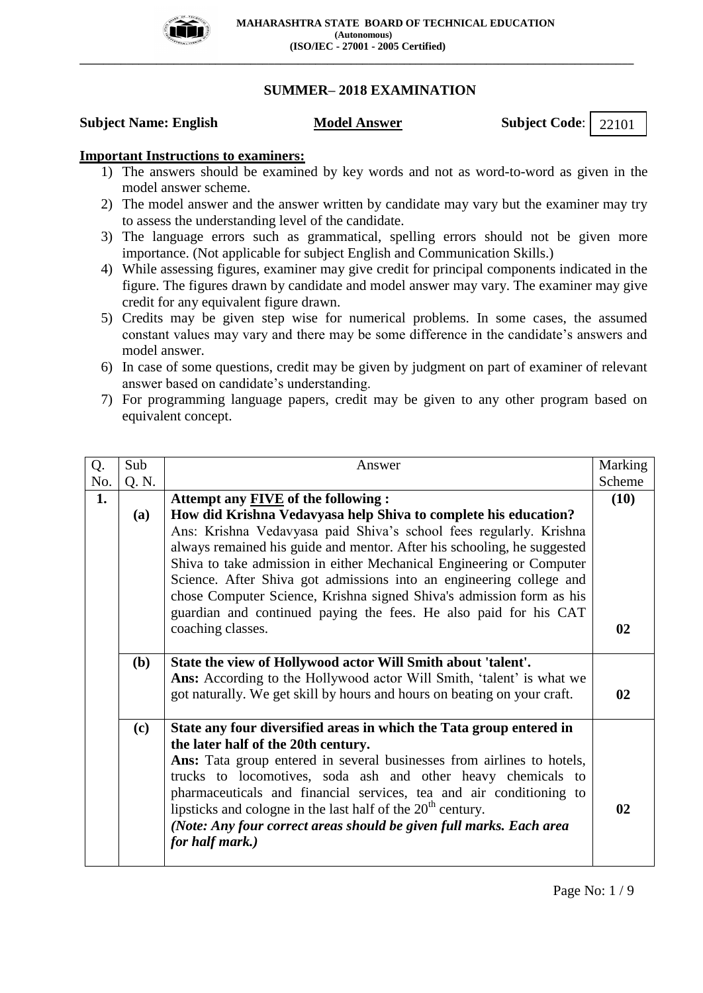

### **SUMMER– 2018 EXAMINATION**

### **Subject Name: English Model Answer**

**\_\_\_\_\_\_\_\_\_\_\_\_\_\_\_\_\_\_\_\_\_\_\_\_\_\_\_\_\_\_\_\_\_\_\_\_\_\_\_\_\_\_\_\_\_\_\_\_\_\_\_\_\_\_\_\_\_\_\_\_\_\_\_\_\_\_\_\_\_\_\_\_\_\_\_\_\_\_\_\_\_\_\_\_\_\_\_\_\_\_\_\_\_\_**

Subject Code:  $\vert$  22101

### **Important Instructions to examiners:**

- 1) The answers should be examined by key words and not as word-to-word as given in the model answer scheme.
- 2) The model answer and the answer written by candidate may vary but the examiner may try to assess the understanding level of the candidate.
- 3) The language errors such as grammatical, spelling errors should not be given more importance. (Not applicable for subject English and Communication Skills.)
- 4) While assessing figures, examiner may give credit for principal components indicated in the figure. The figures drawn by candidate and model answer may vary. The examiner may give credit for any equivalent figure drawn.
- 5) Credits may be given step wise for numerical problems. In some cases, the assumed constant values may vary and there may be some difference in the candidate"s answers and model answer.
- 6) In case of some questions, credit may be given by judgment on part of examiner of relevant answer based on candidate"s understanding.
- 7) For programming language papers, credit may be given to any other program based on equivalent concept.

| Q.  | Sub   | Answer                                                                                                                                            | Marking |
|-----|-------|---------------------------------------------------------------------------------------------------------------------------------------------------|---------|
| No. | Q. N. |                                                                                                                                                   | Scheme  |
| 1.  |       | Attempt any <b>FIVE</b> of the following :                                                                                                        | (10)    |
|     | (a)   | How did Krishna Vedavyasa help Shiva to complete his education?                                                                                   |         |
|     |       | Ans: Krishna Vedavyasa paid Shiva's school fees regularly. Krishna                                                                                |         |
|     |       | always remained his guide and mentor. After his schooling, he suggested                                                                           |         |
|     |       | Shiva to take admission in either Mechanical Engineering or Computer                                                                              |         |
|     |       | Science. After Shiva got admissions into an engineering college and                                                                               |         |
|     |       | chose Computer Science, Krishna signed Shiva's admission form as his                                                                              |         |
|     |       | guardian and continued paying the fees. He also paid for his CAT                                                                                  |         |
|     |       | coaching classes.                                                                                                                                 | 02      |
|     |       |                                                                                                                                                   |         |
|     | (b)   | State the view of Hollywood actor Will Smith about 'talent'.                                                                                      |         |
|     |       | Ans: According to the Hollywood actor Will Smith, 'talent' is what we<br>got naturally. We get skill by hours and hours on beating on your craft. | 02      |
|     |       |                                                                                                                                                   |         |
|     | (c)   | State any four diversified areas in which the Tata group entered in                                                                               |         |
|     |       | the later half of the 20th century.                                                                                                               |         |
|     |       | Ans: Tata group entered in several businesses from airlines to hotels,                                                                            |         |
|     |       | trucks to locomotives, soda ash and other heavy chemicals to                                                                                      |         |
|     |       | pharmaceuticals and financial services, tea and air conditioning to                                                                               |         |
|     |       | lipsticks and cologne in the last half of the 20 <sup>th</sup> century.                                                                           | 02      |
|     |       | (Note: Any four correct areas should be given full marks. Each area                                                                               |         |
|     |       | for half mark.)                                                                                                                                   |         |
|     |       |                                                                                                                                                   |         |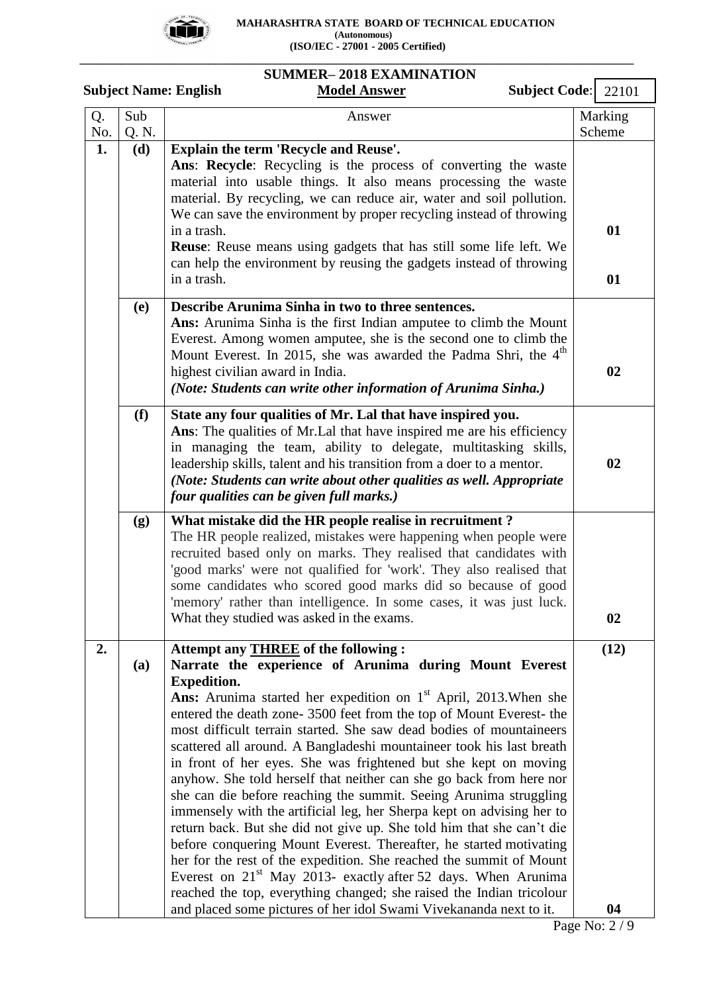

**\_\_\_\_\_\_\_\_\_\_\_\_\_\_\_\_\_\_\_\_\_\_\_\_\_\_\_\_\_\_\_\_\_\_\_\_\_\_\_\_\_\_\_\_\_\_\_\_\_\_\_\_\_\_\_\_\_\_\_\_\_\_\_\_\_\_\_\_\_\_\_\_\_\_\_\_\_\_\_\_\_\_\_\_\_\_\_\_\_\_\_\_\_\_**

#### **SUMMER– 2018 EXAMINATION Subject Name: English Model Answer Subject Code:** Q. No. Sub Q. N. Answer Marking Scheme **1. (d) Explain the term 'Recycle and Reuse'. Ans**: **Recycle**: Recycling is the process of converting the waste material into usable things. It also means processing the waste material. By recycling, we can reduce air, water and soil pollution. We can save the environment by proper recycling instead of throwing in a trash. **Reuse**: Reuse means using gadgets that has still some life left. We can help the environment by reusing the gadgets instead of throwing in a trash. **01 01 (e) Describe Arunima Sinha in two to three sentences. Ans:** Arunima Sinha is the first Indian amputee to climb the Mount Everest. Among women amputee, she is the second one to climb the Mount Everest. In 2015, she was awarded the Padma Shri, the  $4<sup>th</sup>$ highest civilian award in India. *(Note: Students can write other information of Arunima Sinha.)*  **02 (f) State any four qualities of Mr. Lal that have inspired you. Ans**: The qualities of Mr.Lal that have inspired me are his efficiency in managing the team, ability to delegate, multitasking skills, leadership skills, talent and his transition from a doer to a mentor. *(Note: Students can write about other qualities as well. Appropriate four qualities can be given full marks.)*  **02 (g) What mistake did the HR people realise in recruitment ?** The HR people realized, mistakes were happening when people were recruited based only on marks. They realised that candidates with 'good marks' were not qualified for 'work'. They also realised that some candidates who scored good marks did so because of good 'memory' rather than intelligence. In some cases, it was just luck. What they studied was asked in the exams. **02 2. (a) Attempt any THREE of the following : Narrate the experience of Arunima during Mount Everest Expedition.** Ans: Arunima started her expedition on 1<sup>st</sup> April, 2013. When she entered the death zone- 3500 feet from the top of Mount Everest- the most difficult terrain started. She saw dead bodies of mountaineers scattered all around. A Bangladeshi mountaineer took his last breath in front of her eyes. She was frightened but she kept on moving anyhow. She told herself that neither can she go back from here nor she can die before reaching the summit. Seeing Arunima struggling immensely with the artificial leg, her Sherpa kept on advising her to return back. But she did not give up. She told him that she can"t die before conquering Mount Everest. Thereafter, he started motivating her for the rest of the expedition. She reached the summit of Mount Everest on  $21^{st}$  May 2013- exactly after 52 days. When Arunima reached the top, everything changed; she raised the Indian tricolour and placed some pictures of her idol Swami Vivekananda next to it. **(12) 04** 22101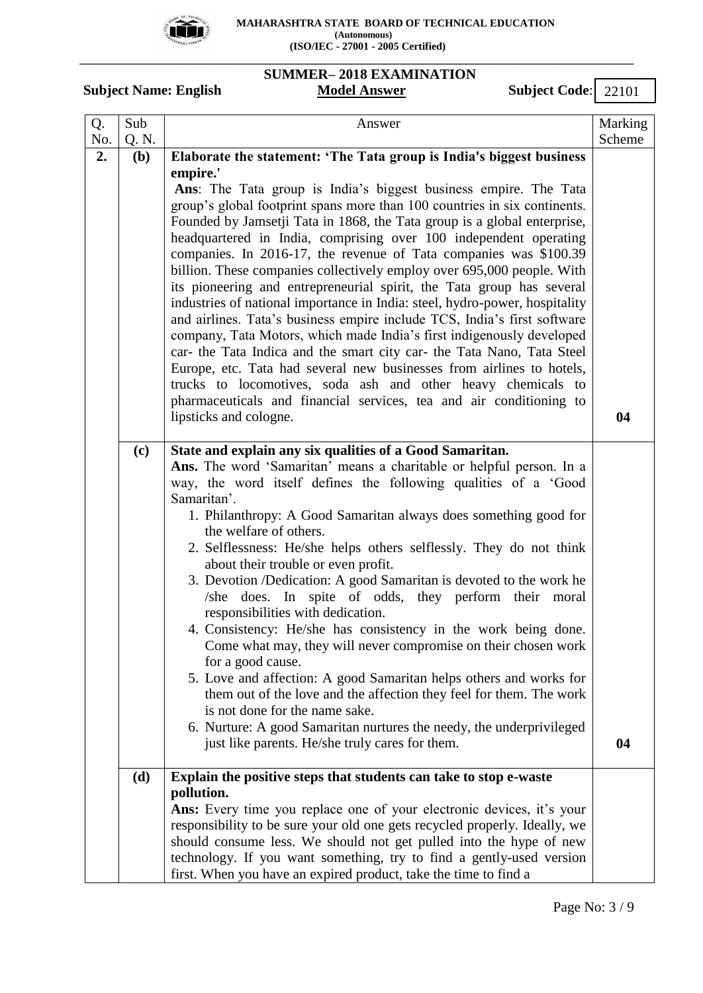

**\_\_\_\_\_\_\_\_\_\_\_\_\_\_\_\_\_\_\_\_\_\_\_\_\_\_\_\_\_\_\_\_\_\_\_\_\_\_\_\_\_\_\_\_\_\_\_\_\_\_\_\_\_\_\_\_\_\_\_\_\_\_\_\_\_\_\_\_\_\_\_\_\_\_\_\_\_\_\_\_\_\_\_\_\_\_\_\_\_\_\_\_\_\_ SUMMER– 2018 EXAMINATION**

## Subject Name: English Model Answer Subject Code:

22101

| Q.  | Sub          | Answer                                                                                                                                    | Marking |
|-----|--------------|-------------------------------------------------------------------------------------------------------------------------------------------|---------|
| No. | Q. N.        |                                                                                                                                           | Scheme  |
| 2.  | ( <b>b</b> ) | Elaborate the statement: 'The Tata group is India's biggest business                                                                      |         |
|     |              | empire.'                                                                                                                                  |         |
|     |              | Ans: The Tata group is India's biggest business empire. The Tata                                                                          |         |
|     |              | group's global footprint spans more than 100 countries in six continents.                                                                 |         |
|     |              | Founded by Jamsetji Tata in 1868, the Tata group is a global enterprise,                                                                  |         |
|     |              | headquartered in India, comprising over 100 independent operating<br>companies. In 2016-17, the revenue of Tata companies was \$100.39    |         |
|     |              | billion. These companies collectively employ over 695,000 people. With                                                                    |         |
|     |              | its pioneering and entrepreneurial spirit, the Tata group has several                                                                     |         |
|     |              | industries of national importance in India: steel, hydro-power, hospitality                                                               |         |
|     |              | and airlines. Tata's business empire include TCS, India's first software                                                                  |         |
|     |              | company, Tata Motors, which made India's first indigenously developed                                                                     |         |
|     |              | car- the Tata Indica and the smart city car- the Tata Nano, Tata Steel                                                                    |         |
|     |              | Europe, etc. Tata had several new businesses from airlines to hotels,                                                                     |         |
|     |              | trucks to locomotives, soda ash and other heavy chemicals to                                                                              |         |
|     |              | pharmaceuticals and financial services, tea and air conditioning to                                                                       |         |
|     |              | lipsticks and cologne.                                                                                                                    | 04      |
|     |              |                                                                                                                                           |         |
|     | (c)          | State and explain any six qualities of a Good Samaritan.                                                                                  |         |
|     |              | Ans. The word 'Samaritan' means a charitable or helpful person. In a                                                                      |         |
|     |              | way, the word itself defines the following qualities of a 'Good<br>Samaritan'.                                                            |         |
|     |              | 1. Philanthropy: A Good Samaritan always does something good for                                                                          |         |
|     |              | the welfare of others.                                                                                                                    |         |
|     |              | 2. Selflessness: He/she helps others selflessly. They do not think                                                                        |         |
|     |              | about their trouble or even profit.                                                                                                       |         |
|     |              | 3. Devotion /Dedication: A good Samaritan is devoted to the work he                                                                       |         |
|     |              | does. In spite of odds, they perform their moral<br>$\mathsf{She}$                                                                        |         |
|     |              | responsibilities with dedication.                                                                                                         |         |
|     |              | 4. Consistency: He/she has consistency in the work being done.                                                                            |         |
|     |              | Come what may, they will never compromise on their chosen work                                                                            |         |
|     |              | for a good cause.                                                                                                                         |         |
|     |              | 5. Love and affection: A good Samaritan helps others and works for<br>them out of the love and the affection they feel for them. The work |         |
|     |              | is not done for the name sake.                                                                                                            |         |
|     |              | 6. Nurture: A good Samaritan nurtures the needy, the underprivileged                                                                      |         |
|     |              | just like parents. He/she truly cares for them.                                                                                           | 04      |
|     |              |                                                                                                                                           |         |
|     | (d)          | Explain the positive steps that students can take to stop e-waste                                                                         |         |
|     |              | pollution.                                                                                                                                |         |
|     |              | <b>Ans:</b> Every time you replace one of your electronic devices, it's your                                                              |         |
|     |              | responsibility to be sure your old one gets recycled properly. Ideally, we                                                                |         |
|     |              | should consume less. We should not get pulled into the hype of new                                                                        |         |
|     |              | technology. If you want something, try to find a gently-used version<br>first. When you have an expired product, take the time to find a  |         |
|     |              |                                                                                                                                           |         |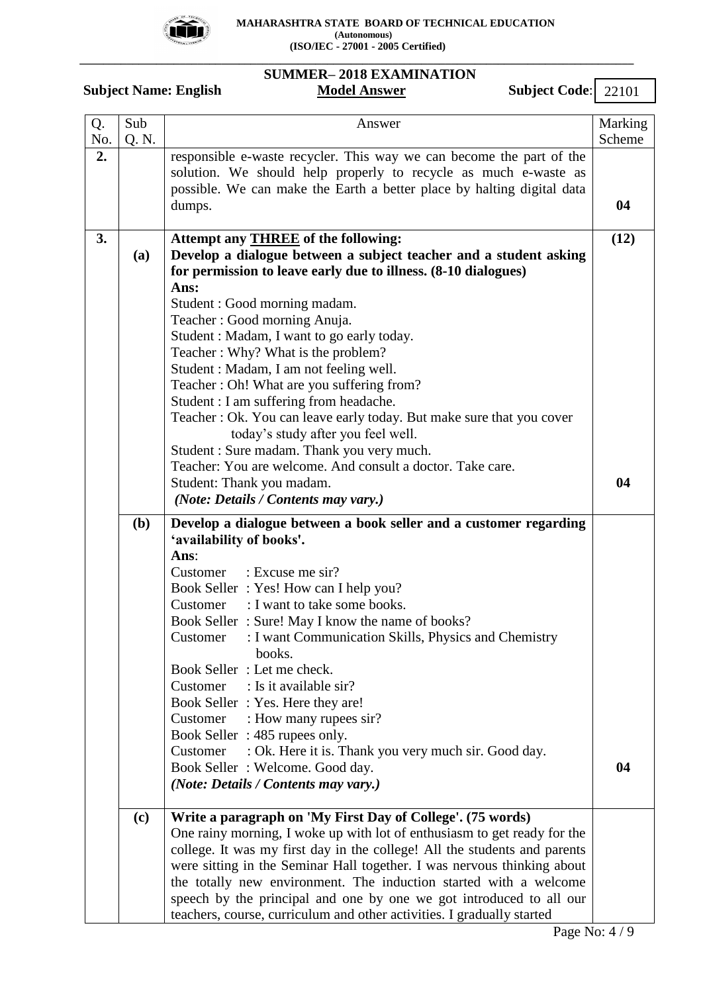

### **\_\_\_\_\_\_\_\_\_\_\_\_\_\_\_\_\_\_\_\_\_\_\_\_\_\_\_\_\_\_\_\_\_\_\_\_\_\_\_\_\_\_\_\_\_\_\_\_\_\_\_\_\_\_\_\_\_\_\_\_\_\_\_\_\_\_\_\_\_\_\_\_\_\_\_\_\_\_\_\_\_\_\_\_\_\_\_\_\_\_\_\_\_\_ SUMMER– 2018 EXAMINATION**

Subject Name: English Model Answer Subject Code: 22101

| Q.  | Sub   | Answer                                                                                                                                  | Marking |
|-----|-------|-----------------------------------------------------------------------------------------------------------------------------------------|---------|
| No. | Q. N. |                                                                                                                                         | Scheme  |
| 2.  |       | responsible e-waste recycler. This way we can become the part of the<br>solution. We should help properly to recycle as much e-waste as |         |
|     |       | possible. We can make the Earth a better place by halting digital data                                                                  |         |
|     |       | dumps.                                                                                                                                  | 04      |
| 3.  |       | Attempt any <b>THREE</b> of the following:                                                                                              | (12)    |
|     | (a)   | Develop a dialogue between a subject teacher and a student asking                                                                       |         |
|     |       | for permission to leave early due to illness. (8-10 dialogues)                                                                          |         |
|     |       | Ans:                                                                                                                                    |         |
|     |       | Student: Good morning madam.                                                                                                            |         |
|     |       | Teacher: Good morning Anuja.<br>Student: Madam, I want to go early today.                                                               |         |
|     |       | Teacher: Why? What is the problem?                                                                                                      |         |
|     |       | Student : Madam, I am not feeling well.                                                                                                 |         |
|     |       | Teacher: Oh! What are you suffering from?                                                                                               |         |
|     |       | Student : I am suffering from headache.                                                                                                 |         |
|     |       | Teacher: Ok. You can leave early today. But make sure that you cover                                                                    |         |
|     |       | today's study after you feel well.                                                                                                      |         |
|     |       | Student : Sure madam. Thank you very much.                                                                                              |         |
|     |       | Teacher: You are welcome. And consult a doctor. Take care.                                                                              |         |
|     |       | Student: Thank you madam.<br>(Note: Details / Contents may vary.)                                                                       | 04      |
|     |       |                                                                                                                                         |         |
|     | (b)   | Develop a dialogue between a book seller and a customer regarding                                                                       |         |
|     |       | 'availability of books'.<br>Ans:                                                                                                        |         |
|     |       | : Excuse me sir?<br>Customer                                                                                                            |         |
|     |       | Book Seller: Yes! How can I help you?                                                                                                   |         |
|     |       | : I want to take some books.<br>Customer                                                                                                |         |
|     |       | Book Seller: Sure! May I know the name of books?                                                                                        |         |
|     |       | : I want Communication Skills, Physics and Chemistry<br>Customer                                                                        |         |
|     |       | books.                                                                                                                                  |         |
|     |       | Book Seller: Let me check.                                                                                                              |         |
|     |       | Customer : Is it available sir?                                                                                                         |         |
|     |       | Book Seller: Yes. Here they are!<br>Customer                                                                                            |         |
|     |       | : How many rupees sir?<br>Book Seller: 485 rupees only.                                                                                 |         |
|     |       | Customer<br>: Ok. Here it is. Thank you very much sir. Good day.                                                                        |         |
|     |       | Book Seller: Welcome. Good day.                                                                                                         | 04      |
|     |       | (Note: Details / Contents may vary.)                                                                                                    |         |
|     | (c)   | Write a paragraph on 'My First Day of College'. (75 words)                                                                              |         |
|     |       | One rainy morning, I woke up with lot of enthusiasm to get ready for the                                                                |         |
|     |       | college. It was my first day in the college! All the students and parents                                                               |         |
|     |       | were sitting in the Seminar Hall together. I was nervous thinking about                                                                 |         |
|     |       | the totally new environment. The induction started with a welcome                                                                       |         |
|     |       | speech by the principal and one by one we got introduced to all our                                                                     |         |
|     |       | teachers, course, curriculum and other activities. I gradually started                                                                  |         |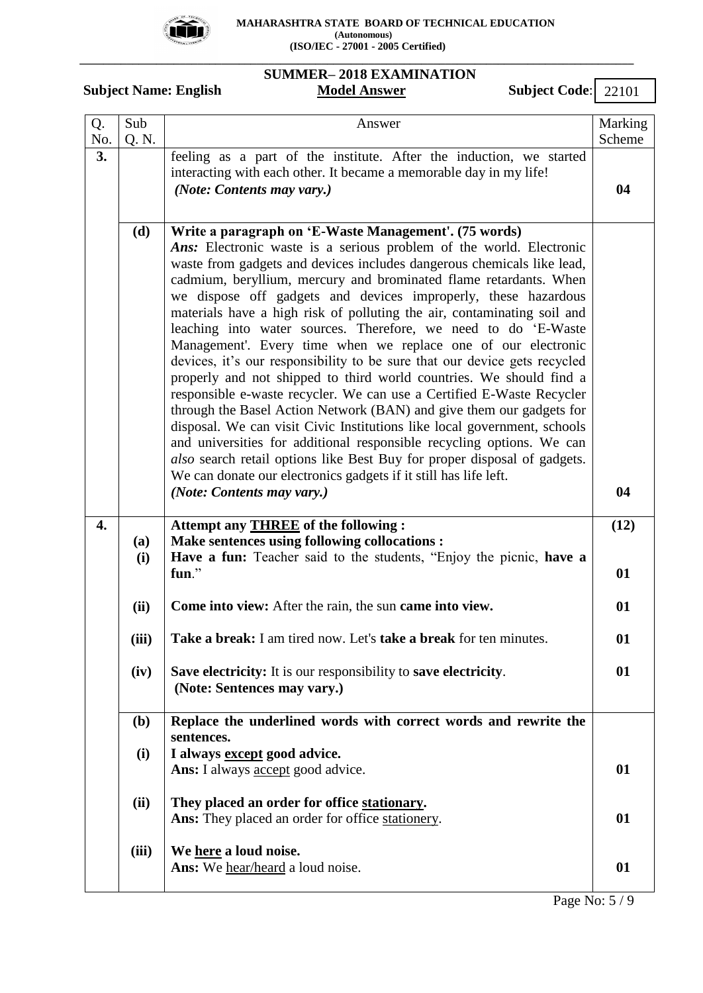

**\_\_\_\_\_\_\_\_\_\_\_\_\_\_\_\_\_\_\_\_\_\_\_\_\_\_\_\_\_\_\_\_\_\_\_\_\_\_\_\_\_\_\_\_\_\_\_\_\_\_\_\_\_\_\_\_\_\_\_\_\_\_\_\_\_\_\_\_\_\_\_\_\_\_\_\_\_\_\_\_\_\_\_\_\_\_\_\_\_\_\_\_\_\_**

### **Subject Name: English**

# **SUMMER– 2018 EXAMINATION**

Subject Code: 22101

| Q.  | Sub   | Answer                                                                                                                                                                                                                                                                                                                                                                                                                                                                                                                                                                                                                                                                                                                                                                                                                                                                                                                                                                                                                                                                                                                                                                                              | Marking |
|-----|-------|-----------------------------------------------------------------------------------------------------------------------------------------------------------------------------------------------------------------------------------------------------------------------------------------------------------------------------------------------------------------------------------------------------------------------------------------------------------------------------------------------------------------------------------------------------------------------------------------------------------------------------------------------------------------------------------------------------------------------------------------------------------------------------------------------------------------------------------------------------------------------------------------------------------------------------------------------------------------------------------------------------------------------------------------------------------------------------------------------------------------------------------------------------------------------------------------------------|---------|
| No. | Q. N. |                                                                                                                                                                                                                                                                                                                                                                                                                                                                                                                                                                                                                                                                                                                                                                                                                                                                                                                                                                                                                                                                                                                                                                                                     | Scheme  |
| 3.  |       | feeling as a part of the institute. After the induction, we started<br>interacting with each other. It became a memorable day in my life!<br>(Note: Contents may vary.)                                                                                                                                                                                                                                                                                                                                                                                                                                                                                                                                                                                                                                                                                                                                                                                                                                                                                                                                                                                                                             | 04      |
|     | (d)   | Write a paragraph on 'E-Waste Management'. (75 words)<br>Ans: Electronic waste is a serious problem of the world. Electronic<br>waste from gadgets and devices includes dangerous chemicals like lead,<br>cadmium, beryllium, mercury and brominated flame retardants. When<br>we dispose off gadgets and devices improperly, these hazardous<br>materials have a high risk of polluting the air, contaminating soil and<br>leaching into water sources. Therefore, we need to do 'E-Waste<br>Management'. Every time when we replace one of our electronic<br>devices, it's our responsibility to be sure that our device gets recycled<br>properly and not shipped to third world countries. We should find a<br>responsible e-waste recycler. We can use a Certified E-Waste Recycler<br>through the Basel Action Network (BAN) and give them our gadgets for<br>disposal. We can visit Civic Institutions like local government, schools<br>and universities for additional responsible recycling options. We can<br>also search retail options like Best Buy for proper disposal of gadgets.<br>We can donate our electronics gadgets if it still has life left.<br>(Note: Contents may vary.) | 04      |
| 4.  | (a)   | Attempt any <b>THREE</b> of the following :<br><b>Make sentences using following collocations :</b>                                                                                                                                                                                                                                                                                                                                                                                                                                                                                                                                                                                                                                                                                                                                                                                                                                                                                                                                                                                                                                                                                                 | (12)    |
|     | (i)   | Have a fun: Teacher said to the students, "Enjoy the picnic, have a<br>fun."                                                                                                                                                                                                                                                                                                                                                                                                                                                                                                                                                                                                                                                                                                                                                                                                                                                                                                                                                                                                                                                                                                                        | 01      |
|     | (ii)  | Come into view: After the rain, the sun came into view.                                                                                                                                                                                                                                                                                                                                                                                                                                                                                                                                                                                                                                                                                                                                                                                                                                                                                                                                                                                                                                                                                                                                             | 01      |
|     | (iii) | Take a break: I am tired now. Let's take a break for ten minutes.                                                                                                                                                                                                                                                                                                                                                                                                                                                                                                                                                                                                                                                                                                                                                                                                                                                                                                                                                                                                                                                                                                                                   | 01      |
|     | (iv)  | Save electricity: It is our responsibility to save electricity.<br>(Note: Sentences may vary.)                                                                                                                                                                                                                                                                                                                                                                                                                                                                                                                                                                                                                                                                                                                                                                                                                                                                                                                                                                                                                                                                                                      | 01      |
|     | (b)   | Replace the underlined words with correct words and rewrite the<br>sentences.                                                                                                                                                                                                                                                                                                                                                                                                                                                                                                                                                                                                                                                                                                                                                                                                                                                                                                                                                                                                                                                                                                                       |         |
|     | (i)   | I always except good advice.<br>Ans: I always accept good advice.                                                                                                                                                                                                                                                                                                                                                                                                                                                                                                                                                                                                                                                                                                                                                                                                                                                                                                                                                                                                                                                                                                                                   | 01      |
|     | (ii)  | They placed an order for office stationary.<br>Ans: They placed an order for office stationery.                                                                                                                                                                                                                                                                                                                                                                                                                                                                                                                                                                                                                                                                                                                                                                                                                                                                                                                                                                                                                                                                                                     | 01      |
|     | (iii) | We here a loud noise.<br>Ans: We hear/heard a loud noise.                                                                                                                                                                                                                                                                                                                                                                                                                                                                                                                                                                                                                                                                                                                                                                                                                                                                                                                                                                                                                                                                                                                                           | 01      |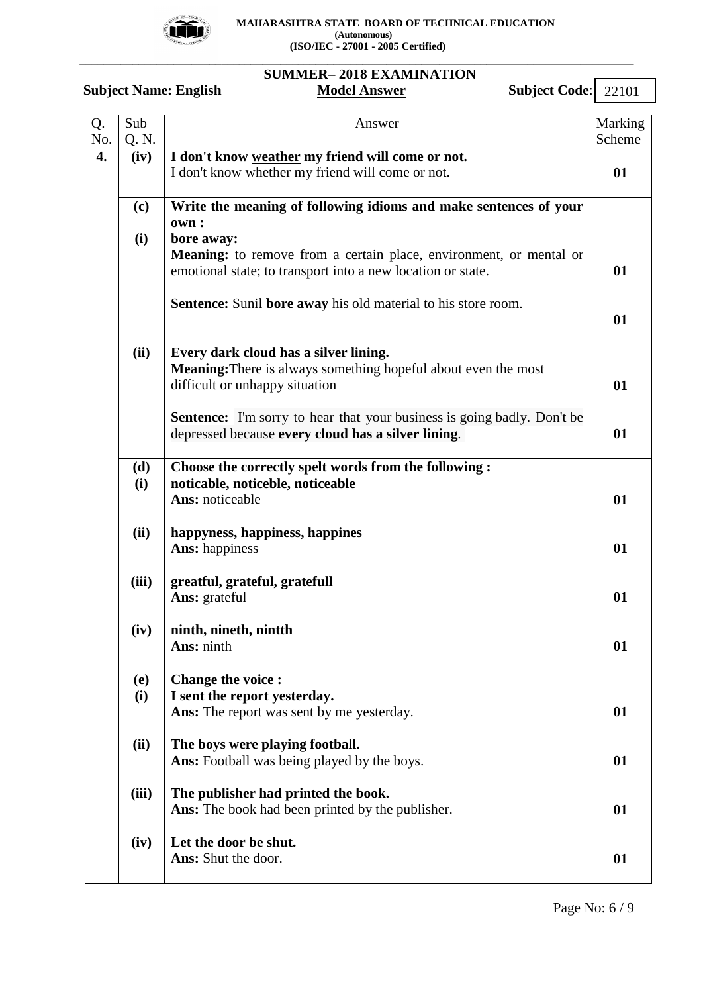

## **\_\_\_\_\_\_\_\_\_\_\_\_\_\_\_\_\_\_\_\_\_\_\_\_\_\_\_\_\_\_\_\_\_\_\_\_\_\_\_\_\_\_\_\_\_\_\_\_\_\_\_\_\_\_\_\_\_\_\_\_\_\_\_\_\_\_\_\_\_\_\_\_\_\_\_\_\_\_\_\_\_\_\_\_\_\_\_\_\_\_\_\_\_\_**

### **Subject Name: English**

## **SUMMER– 2018 EXAMINATION**

Subject Code: 22101

| Q.  | Sub   | Answer                                                                                                                               | Marking |
|-----|-------|--------------------------------------------------------------------------------------------------------------------------------------|---------|
| No. | Q. N. |                                                                                                                                      | Scheme  |
| 4.  | (iv)  | I don't know weather my friend will come or not.                                                                                     |         |
|     |       | I don't know whether my friend will come or not.                                                                                     | 01      |
|     |       |                                                                                                                                      |         |
|     | (c)   | Write the meaning of following idioms and make sentences of your                                                                     |         |
|     |       | own:                                                                                                                                 |         |
|     | (i)   | bore away:                                                                                                                           |         |
|     |       | <b>Meaning:</b> to remove from a certain place, environment, or mental or                                                            |         |
|     |       | emotional state; to transport into a new location or state.                                                                          | 01      |
|     |       |                                                                                                                                      |         |
|     |       | <b>Sentence:</b> Sunil <b>bore away</b> his old material to his store room.                                                          |         |
|     |       |                                                                                                                                      | 01      |
|     |       |                                                                                                                                      |         |
|     | (ii)  | Every dark cloud has a silver lining.                                                                                                |         |
|     |       | <b>Meaning:</b> There is always something hopeful about even the most                                                                |         |
|     |       | difficult or unhappy situation                                                                                                       | 01      |
|     |       |                                                                                                                                      |         |
|     |       | <b>Sentence:</b> I'm sorry to hear that your business is going badly. Don't be<br>depressed because every cloud has a silver lining. | 01      |
|     |       |                                                                                                                                      |         |
|     | (d)   | Choose the correctly spelt words from the following:                                                                                 |         |
|     | (i)   | noticable, noticeble, noticeable                                                                                                     |         |
|     |       | Ans: noticeable                                                                                                                      | 01      |
|     |       |                                                                                                                                      |         |
|     | (ii)  | happyness, happiness, happines                                                                                                       |         |
|     |       | <b>Ans:</b> happiness                                                                                                                | 01      |
|     |       |                                                                                                                                      |         |
|     | (iii) | greatful, grateful, gratefull                                                                                                        |         |
|     |       | Ans: grateful                                                                                                                        | 01      |
|     |       |                                                                                                                                      |         |
|     | (iv)  | ninth, nineth, nintth                                                                                                                |         |
|     |       | <b>Ans:</b> ninth                                                                                                                    | 01      |
|     |       |                                                                                                                                      |         |
|     | (e)   | <b>Change the voice:</b>                                                                                                             |         |
|     | (i)   | I sent the report yesterday.                                                                                                         |         |
|     |       | Ans: The report was sent by me yesterday.                                                                                            | 01      |
|     |       |                                                                                                                                      |         |
|     | (ii)  | The boys were playing football.                                                                                                      |         |
|     |       | Ans: Football was being played by the boys.                                                                                          | 01      |
|     |       |                                                                                                                                      |         |
|     | (iii) | The publisher had printed the book.                                                                                                  |         |
|     |       | <b>Ans:</b> The book had been printed by the publisher.                                                                              | 01      |
|     | (iv)  | Let the door be shut.                                                                                                                |         |
|     |       | Ans: Shut the door.                                                                                                                  | 01      |
|     |       |                                                                                                                                      |         |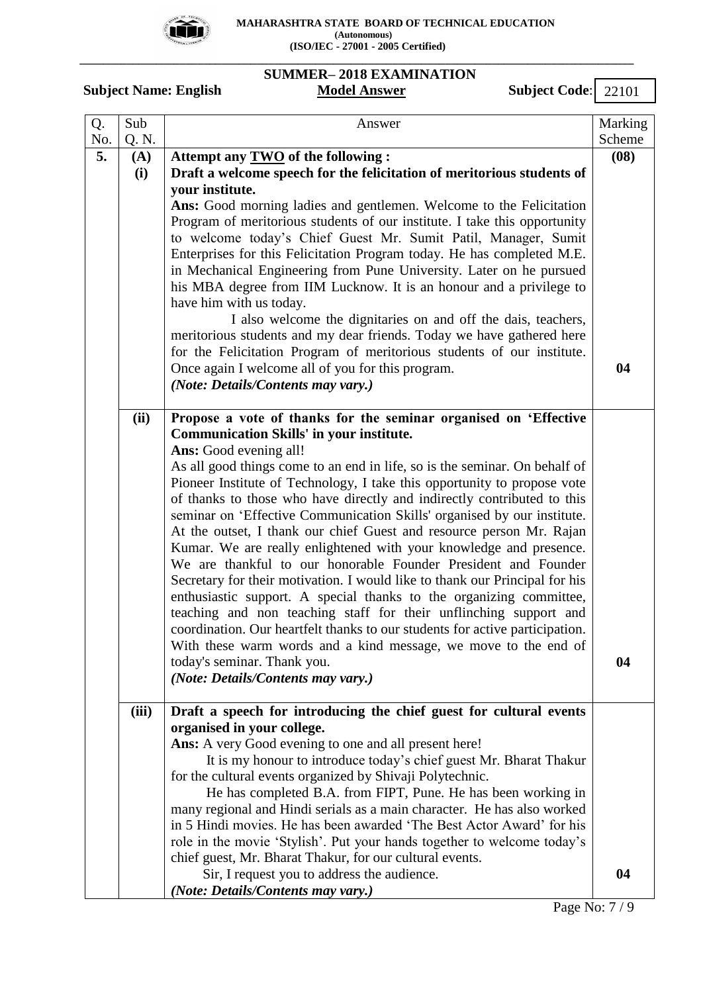

**\_\_\_\_\_\_\_\_\_\_\_\_\_\_\_\_\_\_\_\_\_\_\_\_\_\_\_\_\_\_\_\_\_\_\_\_\_\_\_\_\_\_\_\_\_\_\_\_\_\_\_\_\_\_\_\_\_\_\_\_\_\_\_\_\_\_\_\_\_\_\_\_\_\_\_\_\_\_\_\_\_\_\_\_\_\_\_\_\_\_\_\_\_\_**

Subject Name: English Model Answer Subject Code:

## **SUMMER– 2018 EXAMINATION**

22101

| Q.  | Sub   | Answer                                                                                                                               | Marking |
|-----|-------|--------------------------------------------------------------------------------------------------------------------------------------|---------|
| No. | Q. N. |                                                                                                                                      | Scheme  |
| 5.  | (A)   | Attempt any TWO of the following :                                                                                                   | (08)    |
|     | (i)   | Draft a welcome speech for the felicitation of meritorious students of                                                               |         |
|     |       | your institute.                                                                                                                      |         |
|     |       | Ans: Good morning ladies and gentlemen. Welcome to the Felicitation                                                                  |         |
|     |       | Program of meritorious students of our institute. I take this opportunity                                                            |         |
|     |       | to welcome today's Chief Guest Mr. Sumit Patil, Manager, Sumit                                                                       |         |
|     |       | Enterprises for this Felicitation Program today. He has completed M.E.                                                               |         |
|     |       | in Mechanical Engineering from Pune University. Later on he pursued                                                                  |         |
|     |       | his MBA degree from IIM Lucknow. It is an honour and a privilege to                                                                  |         |
|     |       | have him with us today.                                                                                                              |         |
|     |       | I also welcome the dignitaries on and off the dais, teachers,                                                                        |         |
|     |       | meritorious students and my dear friends. Today we have gathered here                                                                |         |
|     |       | for the Felicitation Program of meritorious students of our institute.                                                               |         |
|     |       | Once again I welcome all of you for this program.                                                                                    | 04      |
|     |       | (Note: Details/Contents may vary.)                                                                                                   |         |
|     |       |                                                                                                                                      |         |
|     | (ii)  | Propose a vote of thanks for the seminar organised on 'Effective                                                                     |         |
|     |       | <b>Communication Skills' in your institute.</b>                                                                                      |         |
|     |       | Ans: Good evening all!                                                                                                               |         |
|     |       | As all good things come to an end in life, so is the seminar. On behalf of                                                           |         |
|     |       | Pioneer Institute of Technology, I take this opportunity to propose vote                                                             |         |
|     |       | of thanks to those who have directly and indirectly contributed to this                                                              |         |
|     |       | seminar on 'Effective Communication Skills' organised by our institute.                                                              |         |
|     |       | At the outset, I thank our chief Guest and resource person Mr. Rajan                                                                 |         |
|     |       | Kumar. We are really enlightened with your knowledge and presence.<br>We are thankful to our honorable Founder President and Founder |         |
|     |       | Secretary for their motivation. I would like to thank our Principal for his                                                          |         |
|     |       | enthusiastic support. A special thanks to the organizing committee,                                                                  |         |
|     |       | teaching and non teaching staff for their unflinching support and                                                                    |         |
|     |       | coordination. Our heartfelt thanks to our students for active participation.                                                         |         |
|     |       | With these warm words and a kind message, we move to the end of                                                                      |         |
|     |       | today's seminar. Thank you.                                                                                                          | 04      |
|     |       | (Note: Details/Contents may vary.)                                                                                                   |         |
|     |       |                                                                                                                                      |         |
|     | (iii) | Draft a speech for introducing the chief guest for cultural events                                                                   |         |
|     |       | organised in your college.                                                                                                           |         |
|     |       | Ans: A very Good evening to one and all present here!                                                                                |         |
|     |       | It is my honour to introduce today's chief guest Mr. Bharat Thakur                                                                   |         |
|     |       | for the cultural events organized by Shivaji Polytechnic.                                                                            |         |
|     |       | He has completed B.A. from FIPT, Pune. He has been working in                                                                        |         |
|     |       | many regional and Hindi serials as a main character. He has also worked                                                              |         |
|     |       | in 5 Hindi movies. He has been awarded 'The Best Actor Award' for his                                                                |         |
|     |       | role in the movie 'Stylish'. Put your hands together to welcome today's                                                              |         |
|     |       | chief guest, Mr. Bharat Thakur, for our cultural events.                                                                             |         |
|     |       | Sir, I request you to address the audience.                                                                                          | 04      |
|     |       | (Note: Details/Contents may vary.)                                                                                                   |         |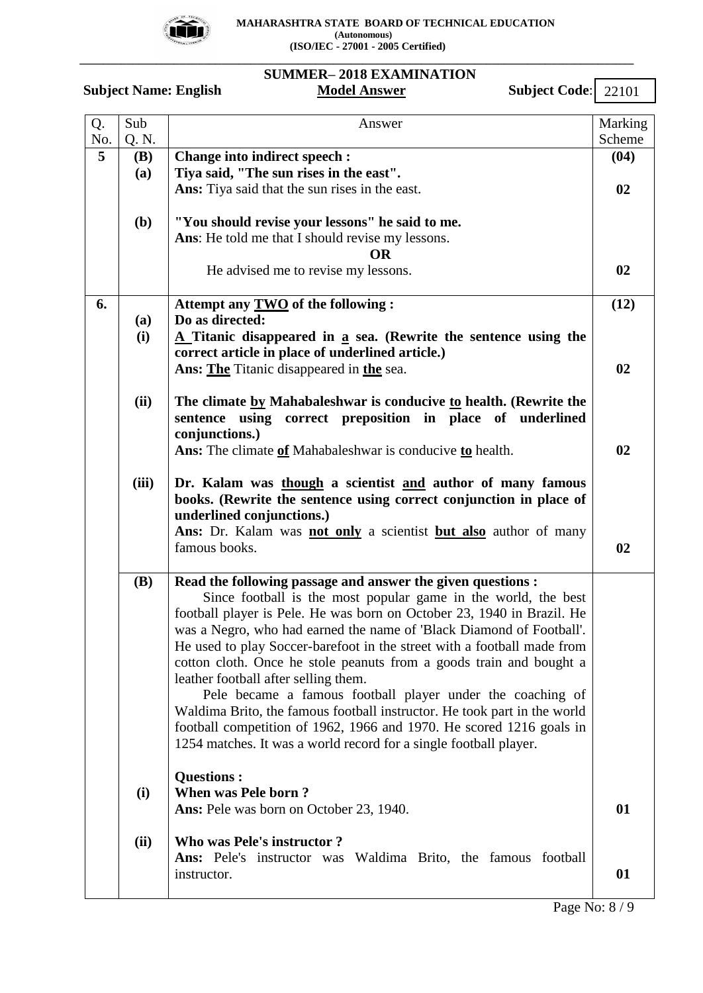

## **\_\_\_\_\_\_\_\_\_\_\_\_\_\_\_\_\_\_\_\_\_\_\_\_\_\_\_\_\_\_\_\_\_\_\_\_\_\_\_\_\_\_\_\_\_\_\_\_\_\_\_\_\_\_\_\_\_\_\_\_\_\_\_\_\_\_\_\_\_\_\_\_\_\_\_\_\_\_\_\_\_\_\_\_\_\_\_\_\_\_\_\_\_\_**

|     |                                                                            | <b>SUMMER-2018 EXAMINATION</b>                                                                                                                                                                                                                                                                                                                                                                                                                                                                                                                                                                                                                                                                                                                                                        |         |
|-----|----------------------------------------------------------------------------|---------------------------------------------------------------------------------------------------------------------------------------------------------------------------------------------------------------------------------------------------------------------------------------------------------------------------------------------------------------------------------------------------------------------------------------------------------------------------------------------------------------------------------------------------------------------------------------------------------------------------------------------------------------------------------------------------------------------------------------------------------------------------------------|---------|
|     | Subject Code: 22101<br><b>Subject Name: English</b><br><b>Model Answer</b> |                                                                                                                                                                                                                                                                                                                                                                                                                                                                                                                                                                                                                                                                                                                                                                                       |         |
| Q.  | Sub                                                                        | Answer                                                                                                                                                                                                                                                                                                                                                                                                                                                                                                                                                                                                                                                                                                                                                                                | Marking |
| No. | Q. N.                                                                      |                                                                                                                                                                                                                                                                                                                                                                                                                                                                                                                                                                                                                                                                                                                                                                                       | Scheme  |
| 5   | <b>(B)</b>                                                                 | <b>Change into indirect speech:</b>                                                                                                                                                                                                                                                                                                                                                                                                                                                                                                                                                                                                                                                                                                                                                   | (04)    |
|     | (a)                                                                        | Tiya said, "The sun rises in the east".                                                                                                                                                                                                                                                                                                                                                                                                                                                                                                                                                                                                                                                                                                                                               |         |
|     |                                                                            | Ans: Tiya said that the sun rises in the east.                                                                                                                                                                                                                                                                                                                                                                                                                                                                                                                                                                                                                                                                                                                                        | 02      |
|     | (b)                                                                        | "You should revise your lessons" he said to me.                                                                                                                                                                                                                                                                                                                                                                                                                                                                                                                                                                                                                                                                                                                                       |         |
|     |                                                                            | Ans: He told me that I should revise my lessons.                                                                                                                                                                                                                                                                                                                                                                                                                                                                                                                                                                                                                                                                                                                                      |         |
|     |                                                                            | <b>OR</b>                                                                                                                                                                                                                                                                                                                                                                                                                                                                                                                                                                                                                                                                                                                                                                             |         |
|     |                                                                            | He advised me to revise my lessons.                                                                                                                                                                                                                                                                                                                                                                                                                                                                                                                                                                                                                                                                                                                                                   | 02      |
| 6.  |                                                                            | Attempt any TWO of the following :                                                                                                                                                                                                                                                                                                                                                                                                                                                                                                                                                                                                                                                                                                                                                    | (12)    |
|     | (a)                                                                        | Do as directed:                                                                                                                                                                                                                                                                                                                                                                                                                                                                                                                                                                                                                                                                                                                                                                       |         |
|     | (i)                                                                        | $\underline{A}$ Titanic disappeared in <u>a</u> sea. (Rewrite the sentence using the                                                                                                                                                                                                                                                                                                                                                                                                                                                                                                                                                                                                                                                                                                  |         |
|     |                                                                            | correct article in place of underlined article.)                                                                                                                                                                                                                                                                                                                                                                                                                                                                                                                                                                                                                                                                                                                                      |         |
|     |                                                                            | <b>Ans: The Titanic disappeared in the sea.</b>                                                                                                                                                                                                                                                                                                                                                                                                                                                                                                                                                                                                                                                                                                                                       | 02      |
|     | (ii)                                                                       | The climate by Mahabaleshwar is conducive to health. (Rewrite the<br>sentence using correct preposition in place of underlined<br>conjunctions.)                                                                                                                                                                                                                                                                                                                                                                                                                                                                                                                                                                                                                                      |         |
|     |                                                                            | Ans: The climate of Mahabaleshwar is conducive to health.                                                                                                                                                                                                                                                                                                                                                                                                                                                                                                                                                                                                                                                                                                                             | 02      |
|     | (iii)                                                                      | Dr. Kalam was though a scientist and author of many famous<br>books. (Rewrite the sentence using correct conjunction in place of<br>underlined conjunctions.)<br>Ans: Dr. Kalam was not only a scientist but also author of many<br>famous books.                                                                                                                                                                                                                                                                                                                                                                                                                                                                                                                                     | 02      |
|     | <b>(B)</b>                                                                 | Read the following passage and answer the given questions :<br>Since football is the most popular game in the world, the best<br>football player is Pele. He was born on October 23, 1940 in Brazil. He<br>was a Negro, who had earned the name of 'Black Diamond of Football'.<br>He used to play Soccer-barefoot in the street with a football made from<br>cotton cloth. Once he stole peanuts from a goods train and bought a<br>leather football after selling them.<br>Pele became a famous football player under the coaching of<br>Waldima Brito, the famous football instructor. He took part in the world<br>football competition of 1962, 1966 and 1970. He scored 1216 goals in<br>1254 matches. It was a world record for a single football player.<br><b>Questions:</b> |         |
|     | (i)                                                                        | <b>When was Pele born?</b><br>Ans: Pele was born on October 23, 1940.                                                                                                                                                                                                                                                                                                                                                                                                                                                                                                                                                                                                                                                                                                                 | 01      |
|     | (ii)                                                                       | <b>Who was Pele's instructor?</b><br>Ans: Pele's instructor was Waldima Brito, the famous football<br>instructor.                                                                                                                                                                                                                                                                                                                                                                                                                                                                                                                                                                                                                                                                     | 01      |